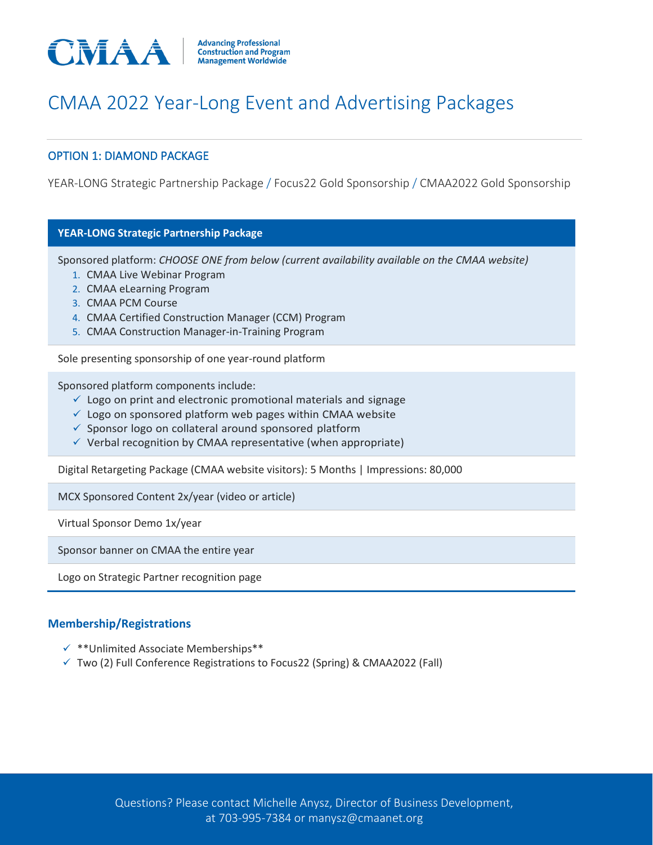

# CMAA 2022 Year-Long Event and Advertising Packages

# OPTION 1: DIAMOND PACKAGE

YEAR-LONG Strategic Partnership Package / Focus22 Gold Sponsorship / CMAA2022 Gold Sponsorship

#### **YEAR-LONG Strategic Partnership Package**

Sponsored platform: *CHOOSE ONE from below (current availability available on the CMAA website)*

- 1. CMAA Live Webinar Program
- 2. CMAA eLearning Program
- 3. CMAA PCM Course
- 4. CMAA Certified Construction Manager (CCM) Program
- 5. CMAA Construction Manager-in-Training Program

Sole presenting sponsorship of one year-round platform

Sponsored platform components include:

- $\checkmark$  Logo on print and electronic promotional materials and signage
- $\checkmark$  Logo on sponsored platform web pages within CMAA website
- $\checkmark$  Sponsor logo on collateral around sponsored platform
- $\checkmark$  Verbal recognition by CMAA representative (when appropriate)

Digital Retargeting Package (CMAA website visitors): 5 Months | Impressions: 80,000

MCX Sponsored Content 2x/year (video or article)

Virtual Sponsor Demo 1x/year

Sponsor banner on CMAA the entire year

Logo on Strategic Partner recognition page

#### **Membership/Registrations**

- $\checkmark$  \*\*Unlimited Associate Memberships\*\*
- $\checkmark$  Two (2) Full Conference Registrations to Focus22 (Spring) & CMAA2022 (Fall)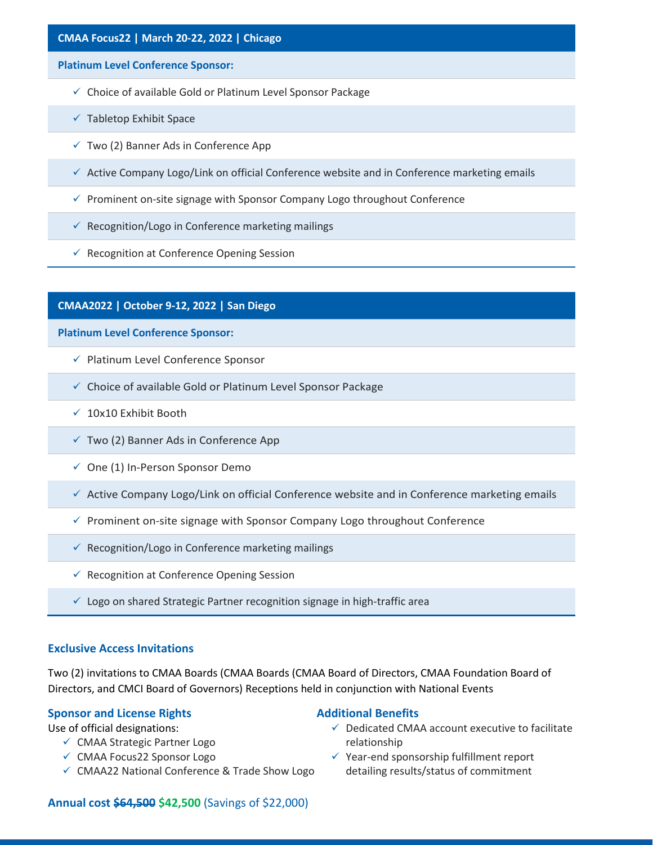**Platinum Level Conference Sponsor:**

- $\checkmark$  Choice of available Gold or Platinum Level Sponsor Package
- $\checkmark$  Tabletop Exhibit Space
- $\checkmark$  Two (2) Banner Ads in Conference App
- $\checkmark$  Active Company Logo/Link on official Conference website and in Conference marketing emails
- $\checkmark$  Prominent on-site signage with Sponsor Company Logo throughout Conference
- $\checkmark$  Recognition/Logo in Conference marketing mailings
- $\checkmark$  Recognition at Conference Opening Session

#### **CMAA2022 | October 9-12, 2022 | San Diego**

**Platinum Level Conference Sponsor:**

- $\checkmark$  Platinum Level Conference Sponsor
- $\checkmark$  Choice of available Gold or Platinum Level Sponsor Package
- $\times$  10x10 Exhibit Booth
- $\checkmark$  Two (2) Banner Ads in Conference App
- $\checkmark$  One (1) In-Person Sponsor Demo
- $\checkmark$  Active Company Logo/Link on official Conference website and in Conference marketing emails
- $\checkmark$  Prominent on-site signage with Sponsor Company Logo throughout Conference
- $\checkmark$  Recognition/Logo in Conference marketing mailings
- $\checkmark$  Recognition at Conference Opening Session
- $\checkmark$  Logo on shared Strategic Partner recognition signage in high-traffic area

#### **Exclusive Access Invitations**

Two (2) invitations to CMAA Boards (CMAA Boards (CMAA Board of Directors, CMAA Foundation Board of Directors, and CMCI Board of Governors) Receptions held in conjunction with National Events

#### **Sponsor and License Rights**

Use of official designations:

- $\checkmark$  CMAA Strategic Partner Logo
- CMAA Focus22 Sponsor Logo
- CMAA22 National Conference & Trade Show Logo

#### **Additional Benefits**

- $\checkmark$  Dedicated CMAA account executive to facilitate relationship
- $\checkmark$  Year-end sponsorship fulfillment report detailing results/status of commitment

### **Annual cost \$64,500 \$42,500** (Savings of \$22,000)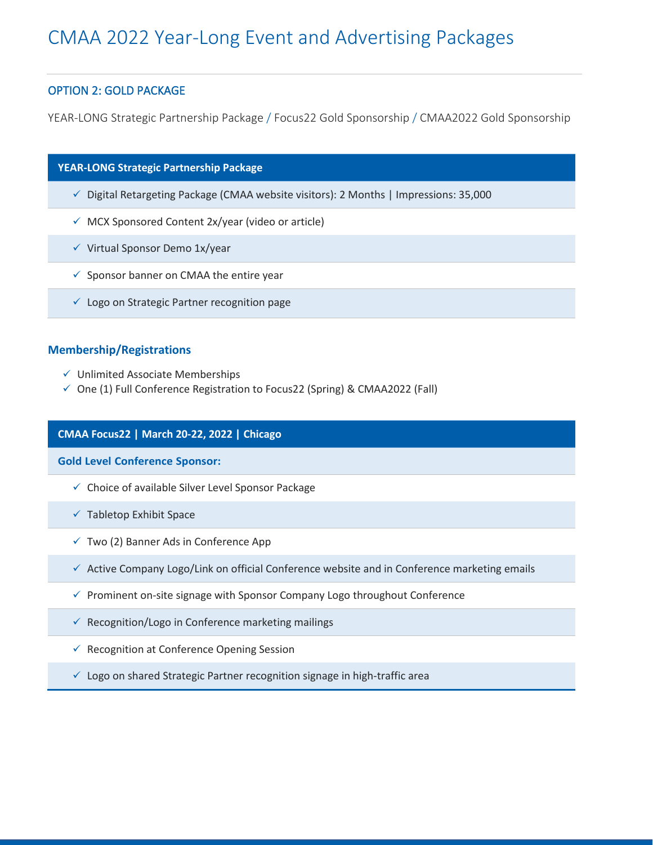# CMAA 2022 Year-Long Event and Advertising Packages

# OPTION 2: GOLD PACKAGE

YEAR-LONG Strategic Partnership Package / Focus22 Gold Sponsorship / CMAA2022 Gold Sponsorship

#### **YEAR-LONG Strategic Partnership Package**

- $\checkmark$  Digital Retargeting Package (CMAA website visitors): 2 Months | Impressions: 35,000
- $\checkmark$  MCX Sponsored Content 2x/year (video or article)
- $\checkmark$  Virtual Sponsor Demo 1x/year
- $\checkmark$  Sponsor banner on CMAA the entire year
- $\checkmark$  Logo on Strategic Partner recognition page

#### **Membership/Registrations**

- $\checkmark$  Unlimited Associate Memberships
- $\checkmark$  One (1) Full Conference Registration to Focus22 (Spring) & CMAA2022 (Fall)

#### **CMAA Focus22 | March 20-22, 2022 | Chicago**

**Gold Level Conference Sponsor:**

- $\checkmark$  Choice of available Silver Level Sponsor Package
- $\checkmark$  Tabletop Exhibit Space
- $\checkmark$  Two (2) Banner Ads in Conference App
- $\checkmark$  Active Company Logo/Link on official Conference website and in Conference marketing emails
- $\checkmark$  Prominent on-site signage with Sponsor Company Logo throughout Conference
- $\checkmark$  Recognition/Logo in Conference marketing mailings
- $\checkmark$  Recognition at Conference Opening Session
- $\checkmark$  Logo on shared Strategic Partner recognition signage in high-traffic area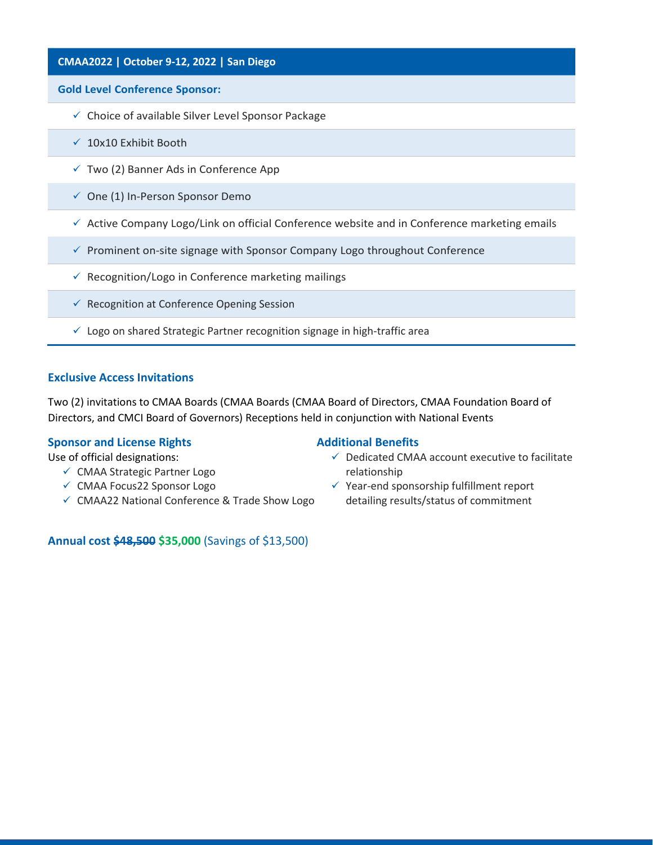#### **CMAA2022 | October 9-12, 2022 | San Diego**

#### **Gold Level Conference Sponsor:**

- $\checkmark$  Choice of available Silver Level Sponsor Package
- $\times$  10x10 Exhibit Booth
- $\checkmark$  Two (2) Banner Ads in Conference App
- $\checkmark$  One (1) In-Person Sponsor Demo
- $\checkmark$  Active Company Logo/Link on official Conference website and in Conference marketing emails
- $\checkmark$  Prominent on-site signage with Sponsor Company Logo throughout Conference
- $\checkmark$  Recognition/Logo in Conference marketing mailings
- $\checkmark$  Recognition at Conference Opening Session
- $\checkmark$  Logo on shared Strategic Partner recognition signage in high-traffic area

#### **Exclusive Access Invitations**

Two (2) invitations to CMAA Boards (CMAA Boards (CMAA Board of Directors, CMAA Foundation Board of Directors, and CMCI Board of Governors) Receptions held in conjunction with National Events

#### **Sponsor and License Rights**

Use of official designations:

- CMAA Strategic Partner Logo
- CMAA Focus22 Sponsor Logo
- CMAA22 National Conference & Trade Show Logo

**Annual cost \$48,500 \$35,000** (Savings of \$13,500)

#### **Additional Benefits**

- $\checkmark$  Dedicated CMAA account executive to facilitate relationship
- $\checkmark$  Year-end sponsorship fulfillment report detailing results/status of commitment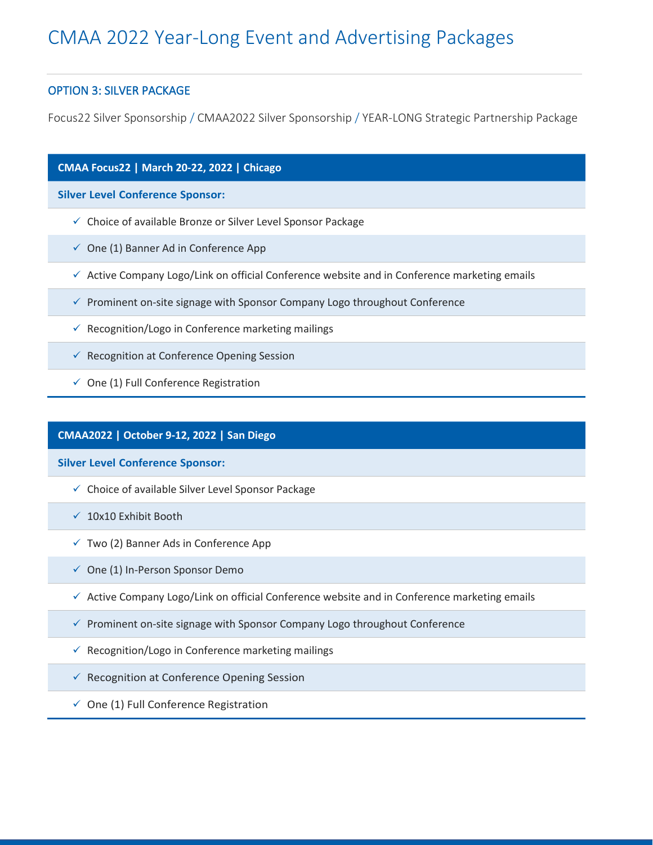# CMAA 2022 Year-Long Event and Advertising Packages

## OPTION 3: SILVER PACKAGE

Focus22 Silver Sponsorship / CMAA2022 Silver Sponsorship / YEAR-LONG Strategic Partnership Package

#### **CMAA Focus22 | March 20-22, 2022 | Chicago**

**Silver Level Conference Sponsor:**

- $\checkmark$  Choice of available Bronze or Silver Level Sponsor Package
- $\checkmark$  One (1) Banner Ad in Conference App
- $\checkmark$  Active Company Logo/Link on official Conference website and in Conference marketing emails
- $\checkmark$  Prominent on-site signage with Sponsor Company Logo throughout Conference
- $\checkmark$  Recognition/Logo in Conference marketing mailings
- $\checkmark$  Recognition at Conference Opening Session
- $\checkmark$  One (1) Full Conference Registration

#### **CMAA2022 | October 9-12, 2022 | San Diego**

**Silver Level Conference Sponsor:**

- $\checkmark$  Choice of available Silver Level Sponsor Package
- $\times$  10x10 Exhibit Booth
- $\checkmark$  Two (2) Banner Ads in Conference App
- $\checkmark$  One (1) In-Person Sponsor Demo
- $\checkmark$  Active Company Logo/Link on official Conference website and in Conference marketing emails
- $\checkmark$  Prominent on-site signage with Sponsor Company Logo throughout Conference
- $\checkmark$  Recognition/Logo in Conference marketing mailings
- $\checkmark$  Recognition at Conference Opening Session
- $\checkmark$  One (1) Full Conference Registration